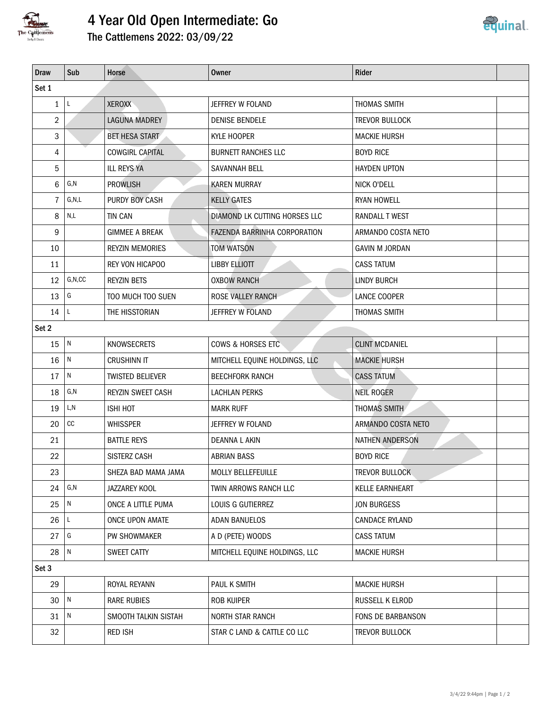

## 4 Year Old Open Intermediate: Go



| <b>Draw</b>    | Sub                     | Horse                   | <b>Owner</b>                  | Rider                  |  |  |  |  |  |  |
|----------------|-------------------------|-------------------------|-------------------------------|------------------------|--|--|--|--|--|--|
| Set 1          |                         |                         |                               |                        |  |  |  |  |  |  |
| $\mathbf{1}$   | L                       | <b>XEROXX</b>           | JEFFREY W FOLAND              | THOMAS SMITH           |  |  |  |  |  |  |
| $\overline{2}$ |                         | <b>LAGUNA MADREY</b>    | <b>DENISE BENDELE</b>         | <b>TREVOR BULLOCK</b>  |  |  |  |  |  |  |
| 3              |                         | <b>BET HESA START</b>   | KYLE HOOPER                   | <b>MACKIE HURSH</b>    |  |  |  |  |  |  |
| 4              |                         | <b>COWGIRL CAPITAL</b>  | <b>BURNETT RANCHES LLC</b>    | <b>BOYD RICE</b>       |  |  |  |  |  |  |
| 5              |                         | <b>ILL REYS YA</b>      | SAVANNAH BELL                 | <b>HAYDEN UPTON</b>    |  |  |  |  |  |  |
| 6              | G, N                    | <b>PROWLISH</b>         | <b>KAREN MURRAY</b>           | NICK O'DELL            |  |  |  |  |  |  |
| 7              | G, N, L                 | PURDY BOY CASH          | <b>KELLY GATES</b>            | <b>RYAN HOWELL</b>     |  |  |  |  |  |  |
| 8              | $\mathsf{N},\mathsf{L}$ | <b>TIN CAN</b>          | DIAMOND LK CUTTING HORSES LLC | RANDALL T WEST         |  |  |  |  |  |  |
| 9              |                         | <b>GIMMEE A BREAK</b>   | FAZENDA BARRINHA CORPORATION  | ARMANDO COSTA NETO     |  |  |  |  |  |  |
| 10             |                         | <b>REYZIN MEMORIES</b>  | TOM WATSON                    | <b>GAVIN M JORDAN</b>  |  |  |  |  |  |  |
| 11             |                         | REY VON HICAPOO         | <b>LIBBY ELLIOTT</b>          | <b>CASS TATUM</b>      |  |  |  |  |  |  |
| 12             | G, N, CC                | <b>REYZIN BETS</b>      | <b>OXBOW RANCH</b>            | <b>LINDY BURCH</b>     |  |  |  |  |  |  |
| 13             | G                       | TOO MUCH TOO SUEN       | ROSE VALLEY RANCH             | LANCE COOPER           |  |  |  |  |  |  |
| 14             | L                       | THE HISSTORIAN          | JEFFREY W FOLAND              | THOMAS SMITH           |  |  |  |  |  |  |
| Set 2          |                         |                         |                               |                        |  |  |  |  |  |  |
| 15             | ${\sf N}$               | <b>KNOWSECRETS</b>      | COWS & HORSES ETC             | <b>CLINT MCDANIEL</b>  |  |  |  |  |  |  |
| 16             | $\overline{N}$          | <b>CRUSHINN IT</b>      | MITCHELL EQUINE HOLDINGS, LLC | <b>MACKIE HURSH</b>    |  |  |  |  |  |  |
| 17             | ${\sf N}$               | <b>TWISTED BELIEVER</b> | <b>BEECHFORK RANCH</b>        | <b>CASS TATUM</b>      |  |  |  |  |  |  |
| 18             | G,N                     | REYZIN SWEET CASH       | <b>LACHLAN PERKS</b>          | <b>NEIL ROGER</b>      |  |  |  |  |  |  |
| 19             | L,N                     | <b>ISHI HOT</b>         | <b>MARK RUFF</b>              | <b>THOMAS SMITH</b>    |  |  |  |  |  |  |
| 20             | $\mathop{\rm CC}$       | <b>WHISSPER</b>         | JEFFREY W FOLAND              | ARMANDO COSTA NETO     |  |  |  |  |  |  |
| 21             |                         | <b>BATTLE REYS</b>      | DEANNA L AKIN                 | <b>NATHEN ANDERSON</b> |  |  |  |  |  |  |
| 22             |                         | <b>SISTERZ CASH</b>     | <b>ABRIAN BASS</b>            | <b>BOYD RICE</b>       |  |  |  |  |  |  |
| 23             |                         | SHEZA BAD MAMA JAMA     | MOLLY BELLEFEUILLE            | <b>TREVOR BULLOCK</b>  |  |  |  |  |  |  |
| 24             | $\mathsf{G},\mathsf{N}$ | JAZZAREY KOOL           | TWIN ARROWS RANCH LLC         | KELLE EARNHEART        |  |  |  |  |  |  |
| 25             | N                       | ONCE A LITTLE PUMA      | LOUIS G GUTIERREZ             | <b>JON BURGESS</b>     |  |  |  |  |  |  |
| 26             | L                       | ONCE UPON AMATE         | <b>ADAN BANUELOS</b>          | <b>CANDACE RYLAND</b>  |  |  |  |  |  |  |
| 27             | G                       | PW SHOWMAKER            | A D (PETE) WOODS              | <b>CASS TATUM</b>      |  |  |  |  |  |  |
| 28             | N                       | SWEET CATTY             | MITCHELL EQUINE HOLDINGS, LLC | <b>MACKIE HURSH</b>    |  |  |  |  |  |  |
| Set 3          |                         |                         |                               |                        |  |  |  |  |  |  |
| 29             |                         | ROYAL REYANN            | PAUL K SMITH                  | <b>MACKIE HURSH</b>    |  |  |  |  |  |  |
| 30             | $\sqrt{N}$              | RARE RUBIES             | ROB KUIPER                    | RUSSELL K ELROD        |  |  |  |  |  |  |
| 31             | N                       | SMOOTH TALKIN SISTAH    | NORTH STAR RANCH              | FONS DE BARBANSON      |  |  |  |  |  |  |
| 32             |                         | <b>RED ISH</b>          | STAR C LAND & CATTLE CO LLC   | TREVOR BULLOCK         |  |  |  |  |  |  |